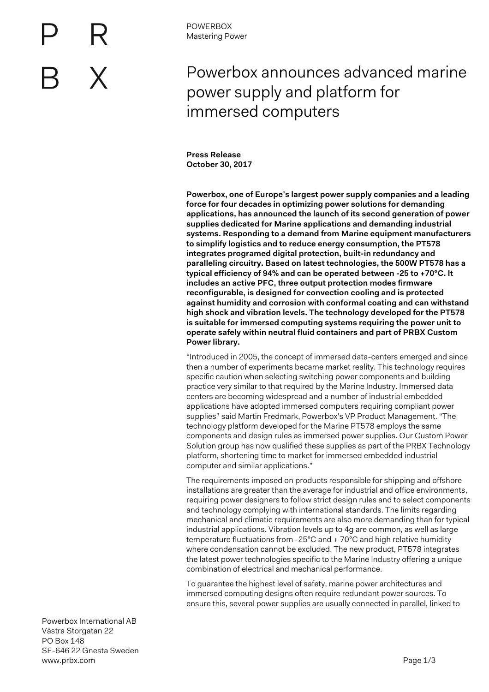

**Press Release October 30, 2017**

**Powerbox, one of Europe's largest power supply companies and a leading force for four decades in optimizing power solutions for demanding applications, has announced the launch of its second generation of power supplies dedicated for Marine applications and demanding industrial systems. Responding to a demand from Marine equipment manufacturers to simplify logistics and to reduce energy consumption, the PT578 integrates programed digital protection, built-in redundancy and paralleling circuitry. Based on latest technologies, the 500W PT578 has a typical efficiency of 94% and can be operated between -25 to +70°C. It includes an active PFC, three output protection modes firmware reconfigurable, is designed for convection cooling and is protected against humidity and corrosion with conformal coating and can withstand high shock and vibration levels. The technology developed for the PT578 is suitable for immersed computing systems requiring the power unit to operate safely within neutral fluid containers and part of PRBX Custom Power library.**

"Introduced in 2005, the concept of immersed data-centers emerged and since then a number of experiments became market reality. This technology requires specific caution when selecting switching power components and building practice very similar to that required by the Marine Industry. Immersed data centers are becoming widespread and a number of industrial embedded applications have adopted immersed computers requiring compliant power supplies" said Martin Fredmark, Powerbox's VP Product Management. "The technology platform developed for the Marine PT578 employs the same components and design rules as immersed power supplies. Our Custom Power Solution group has now qualified these supplies as part of the PRBX Technology platform, shortening time to market for immersed embedded industrial computer and similar applications."

The requirements imposed on products responsible for shipping and offshore installations are greater than the average for industrial and office environments, requiring power designers to follow strict design rules and to select components and technology complying with international standards. The limits regarding mechanical and climatic requirements are also more demanding than for typical industrial applications. Vibration levels up to 4g are common, as well as large temperature fluctuations from -25°C and + 70°C and high relative humidity where condensation cannot be excluded. The new product, PT578 integrates the latest power technologies specific to the Marine Industry offering a unique combination of electrical and mechanical performance.

To guarantee the highest level of safety, marine power architectures and immersed computing designs often require redundant power sources. To ensure this, several power supplies are usually connected in parallel, linked to

Powerbox International AB Västra Storgatan 22 PO Box 148 SE-646 22 Gnesta Sweden www.prbx.com **Page 1/3**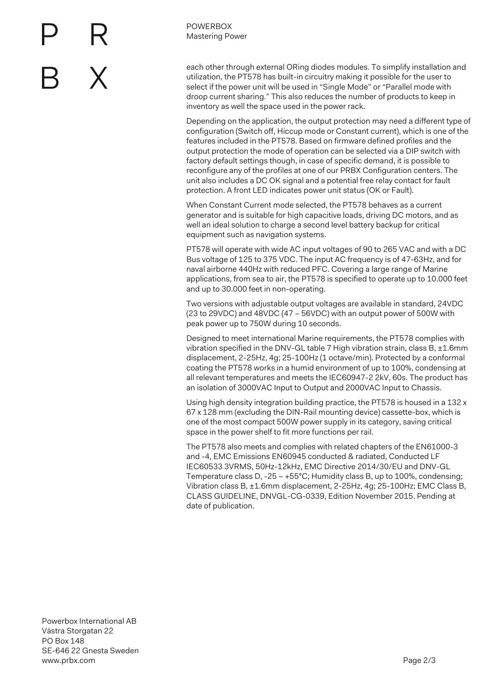

**POWERBOX** Mastering Power

each other through external ORing diodes modules. To simplify installation and utilization, the PT578 has built-in circuitry making it possible for the user to select if the power unit will be used in "Single Mode" or "Parallel mode with droop current sharing." This also reduces the number of products to keep in inventory as well the space used in the power rack.

Depending on the application, the output protection may need a different type of configuration (Switch off, Hiccup mode or Constant current), which is one of the features included in the PT578. Based on firmware defined profiles and the output protection the mode of operation can be selected via a DIP switch with factory default settings though, in case of specific demand, it is possible to reconfigure any of the profiles at one of our PRBX Configuration centers. The unit also includes a DC OK signal and a potential free relay contact for fault protection. A front LED indicates power unit status (OK or Fault).

When Constant Current mode selected, the PT578 behaves as a current generator and is suitable for high capacitive loads, driving DC motors, and as well an ideal solution to charge a second level battery backup for critical equipment such as navigation systems.

PT578 will operate with wide AC input voltages of 90 to 265 VAC and with a DC Bus voltage of 125 to 375 VDC. The input AC frequency is of 47-63Hz, and for naval airborne 440Hz with reduced PFC. Covering a large range of Marine applications, from sea to air, the PT578 is specified to operate up to 10.000 feet and up to 30.000 feet in non-operating.

Two versions with adjustable output voltages are available in standard, 24VDC (23 to 29VDC) and 48VDC (47 – 56VDC) with an output power of 500W with peak power up to 750W during 10 seconds.

Designed to meet international Marine requirements, the PT578 complies with vibration specified in the DNV-GL table 7 High vibration strain, class B,  $\pm 1.6$ mm displacement, 2-25Hz, 4g; 25-100Hz (1 octave/min). Protected by a conformal coating the PT578 works in a humid environment of up to 100%, condensing at all relevant temperatures and meets the IEC60947-2 2kV, 60s. The product has an isolation of 3000VAC Input to Output and 2000VAC Input to Chassis.

Using high density integration building practice, the PT578 is housed in a 132 x 67 x 128 mm (excluding the DIN-Rail mounting device) cassette-box, which is one of the most compact 500W power supply in its category, saving critical space in the power shelf to fit more functions per rail.

The PT578 also meets and complies with related chapters of the EN61000-3 and -4, EMC Emissions EN60945 conducted & radiated, Conducted LF IEC60533 3VRMS, 50Hz-12kHz, EMC Directive 2014/30/EU and DNV-GL Temperature class D, -25 – +55°C; Humidity class B, up to 100%, condensing; Vibration class B, ±1.6mm displacement, 2-25Hz, 4g; 25-100Hz; EMC Class B, CLASS GUIDELINE, DNVGL-CG-0339, Edition November 2015. Pending at date of publication.

Powerbox International AB Västra Storgatan 22 PO Box 148 SE-646 22 Gnesta Sweden www.prbx.com **Page 2/3**